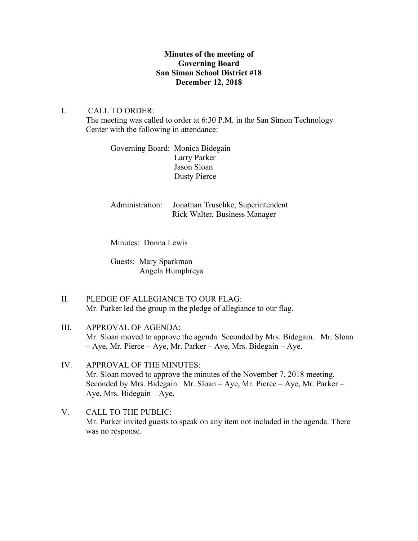## **Minutes of the meeting of Governing Board San Simon School District #18 December 12, 2018**

I. CALL TO ORDER: The meeting was called to order at 6:30 P.M. in the San Simon Technology Center with the following in attendance:

> Governing Board: Monica Bidegain Larry Parker Jason Sloan Dusty Pierce

Administration: Jonathan Truschke, Superintendent Rick Walter, Business Manager

Minutes: Donna Lewis

Guests: Mary Sparkman Angela Humphreys

- II. PLEDGE OF ALLEGIANCE TO OUR FLAG: Mr. Parker led the group in the pledge of allegiance to our flag.
- III. APPROVAL OF AGENDA: Mr. Sloan moved to approve the agenda. Seconded by Mrs. Bidegain. Mr. Sloan – Aye, Mr. Pierce – Aye, Mr. Parker – Aye, Mrs. Bidegain – Aye.
- IV. APPROVAL OF THE MINUTES: Mr. Sloan moved to approve the minutes of the November 7, 2018 meeting. Seconded by Mrs. Bidegain. Mr. Sloan – Aye, Mr. Pierce – Aye, Mr. Parker – Aye, Mrs. Bidegain – Aye.
- V. CALL TO THE PUBLIC: Mr. Parker invited guests to speak on any item not included in the agenda. There was no response.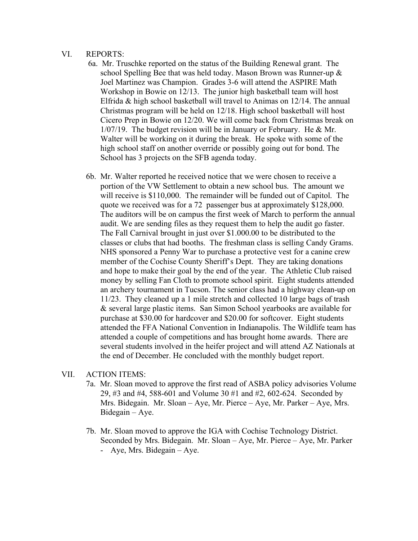#### VI. REPORTS:

- 6a. Mr. Truschke reported on the status of the Building Renewal grant. The school Spelling Bee that was held today. Mason Brown was Runner-up & Joel Martinez was Champion. Grades 3-6 will attend the ASPIRE Math Workshop in Bowie on 12/13. The junior high basketball team will host Elfrida & high school basketball will travel to Animas on 12/14. The annual Christmas program will be held on 12/18. High school basketball will host Cicero Prep in Bowie on 12/20. We will come back from Christmas break on 1/07/19. The budget revision will be in January or February. He & Mr. Walter will be working on it during the break. He spoke with some of the high school staff on another override or possibly going out for bond. The School has 3 projects on the SFB agenda today.
- 6b. Mr. Walter reported he received notice that we were chosen to receive a portion of the VW Settlement to obtain a new school bus. The amount we will receive is \$110,000. The remainder will be funded out of Capitol. The quote we received was for a 72 passenger bus at approximately \$128,000. The auditors will be on campus the first week of March to perform the annual audit. We are sending files as they request them to help the audit go faster. The Fall Carnival brought in just over \$1.000.00 to be distributed to the classes or clubs that had booths. The freshman class is selling Candy Grams. NHS sponsored a Penny War to purchase a protective vest for a canine crew member of the Cochise County Sheriff's Dept. They are taking donations and hope to make their goal by the end of the year. The Athletic Club raised money by selling Fan Cloth to promote school spirit. Eight students attended an archery tournament in Tucson. The senior class had a highway clean-up on 11/23. They cleaned up a 1 mile stretch and collected 10 large bags of trash & several large plastic items. San Simon School yearbooks are available for purchase at \$30.00 for hardcover and \$20.00 for softcover. Eight students attended the FFA National Convention in Indianapolis. The Wildlife team has attended a couple of competitions and has brought home awards. There are several students involved in the heifer project and will attend AZ Nationals at the end of December. He concluded with the monthly budget report.

#### VII. ACTION ITEMS:

- 7a. Mr. Sloan moved to approve the first read of ASBA policy advisories Volume 29, #3 and #4, 588-601 and Volume 30 #1 and #2, 602-624. Seconded by Mrs. Bidegain. Mr. Sloan – Aye, Mr. Pierce – Aye, Mr. Parker – Aye, Mrs. Bidegain – Aye.
- 7b. Mr. Sloan moved to approve the IGA with Cochise Technology District. Seconded by Mrs. Bidegain. Mr. Sloan – Aye, Mr. Pierce – Aye, Mr. Parker - Aye, Mrs. Bidegain – Aye.